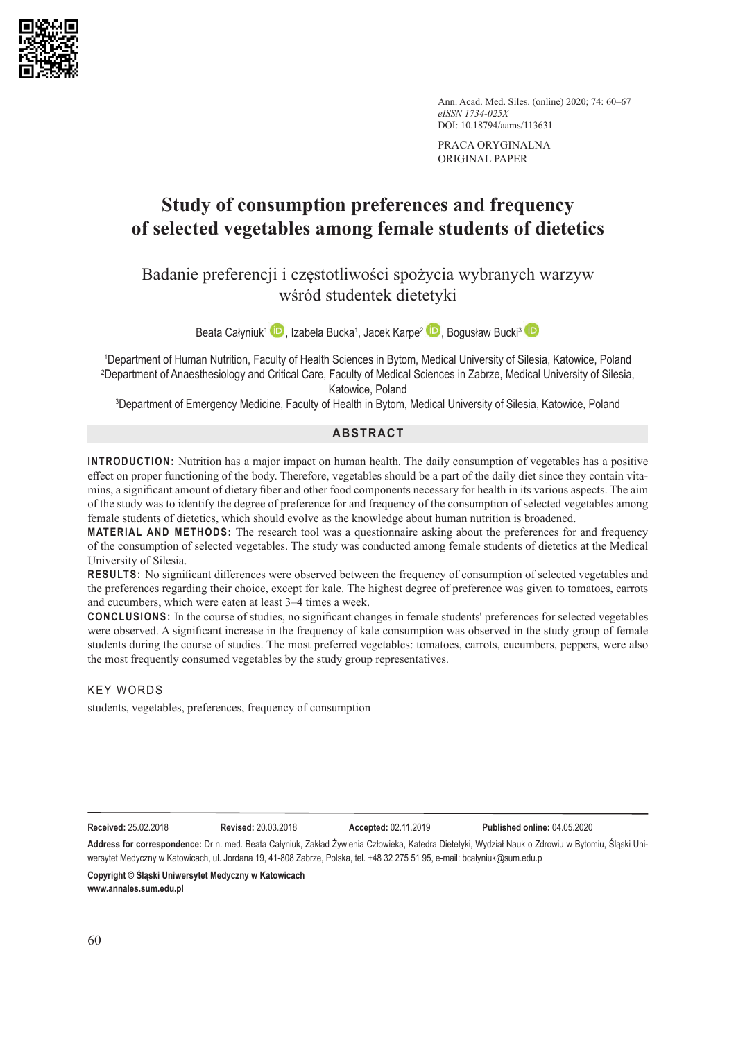

Ann. Acad. Med. Siles. (online) 2020; 74: 60–67 *eISSN 1734-025X* DOI: 10.18794/aams/113631

PRACA ORYGINALNA ORIGINAL PAPER

# **Study of consumption preferences and frequency of selected vegetables among female students of dietetics**

Badanie preferencji i częstotliwości spożycia wybranych warzyw wśród studentek dietetyki

Beata Całyniuk<sup>1</sup> (D), Izabela Bucka<sup>1</sup>, Jacek Karpe<sup>2</sup> (D), Bogusław Bucki<sup>3</sup>

1 Department of Human Nutrition, Faculty of Health Sciences in Bytom, Medical University of Silesia, Katowice, Poland 2 Department of Anaesthesiology and Critical Care, Faculty of Medical Sciences in Zabrze, Medical University of Silesia, Katowice, Poland

3 Department of Emergency Medicine, Faculty of Health in Bytom, Medical University of Silesia, Katowice, Poland

# **ABSTRACT**

**INTRODUCTION:** Nutrition has a major impact on human health. The daily consumption of vegetables has a positive effect on proper functioning of the body. Therefore, vegetables should be a part of the daily diet since they contain vitamins, a significant amount of dietary fiber and other food components necessary for health in its various aspects. The aim of the study was to identify the degree of preference for and frequency of the consumption of selected vegetables among female students of dietetics, which should evolve as the knowledge about human nutrition is broadened.

**MATERIAL AND METHODS:** The research tool was a questionnaire asking about the preferences for and frequency of the consumption of selected vegetables. The study was conducted among female students of dietetics at the Medical University of Silesia.

**RESULTS:** No significant differences were observed between the frequency of consumption of selected vegetables and the preferences regarding their choice, except for kale. The highest degree of preference was given to tomatoes, carrots and cucumbers, which were eaten at least 3–4 times a week.

**CONCLUSIONS:** In the course of studies, no significant changes in female students' preferences for selected vegetables were observed. A significant increase in the frequency of kale consumption was observed in the study group of female students during the course of studies. The most preferred vegetables: tomatoes, carrots, cucumbers, peppers, were also the most frequently consumed vegetables by the study group representatives.

#### KEY WORDS

students, vegetables, preferences, frequency of consumption

**Received:** 25.02.201815.12.2016 **Revised:** 20.03.201822.06.2017 **Accepted:** 02.11.201923.10.2019 **Published online:** 04.05.2020

**Address for correspondence:** Dr n. med. Beata Całyniuk, Zakład Żywienia Człowieka, Katedra Dietetyki, Wydział Nauk o Zdrowiu w Bytomiu, Śląski Uniwersytet Medyczny w Katowicach, ul. Jordana 19, 41-808 Zabrze, Polska, tel. +48 32 275 51 95, e-mail: bcalyniuk@sum.edu.p

**Copyright © Śląski Uniwersytet Medyczny w Katowicach www.annales.sum.edu.pl**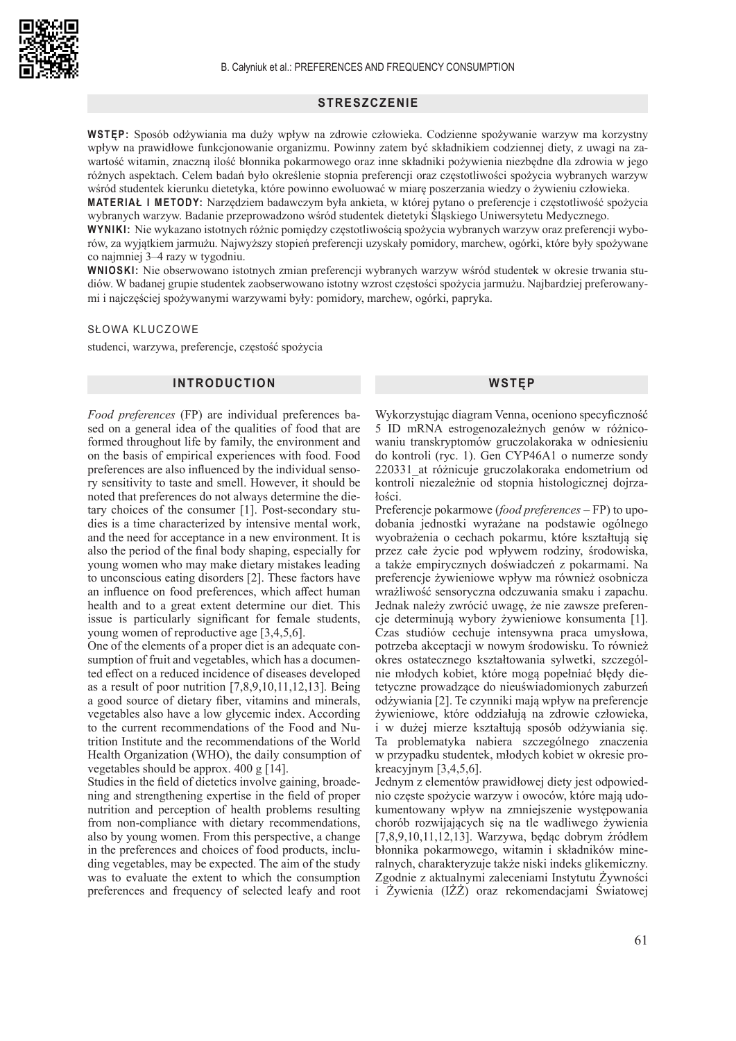

#### **STRESZCZENIE**

**WSTĘP:** Sposób odżywiania ma duży wpływ na zdrowie człowieka. Codzienne spożywanie warzyw ma korzystny wpływ na prawidłowe funkcjonowanie organizmu. Powinny zatem być składnikiem codziennej diety, z uwagi na zawartość witamin, znaczną ilość błonnika pokarmowego oraz inne składniki pożywienia niezbędne dla zdrowia w jego różnych aspektach. Celem badań było określenie stopnia preferencji oraz częstotliwości spożycia wybranych warzyw wśród studentek kierunku dietetyka, które powinno ewoluować w miarę poszerzania wiedzy o żywieniu człowieka.

**MATERIAŁ I METODY:** Narzędziem badawczym była ankieta, w której pytano o preferencje i częstotliwość spożycia wybranych warzyw. Badanie przeprowadzono wśród studentek dietetyki Śląskiego Uniwersytetu Medycznego.

**WYNIKI:** Nie wykazano istotnych różnic pomiędzy częstotliwością spożycia wybranych warzyw oraz preferencji wyborów, za wyjątkiem jarmużu. Najwyższy stopień preferencji uzyskały pomidory, marchew, ogórki, które były spożywane co najmniej 3–4 razy w tygodniu.

**WNIOSKI:** Nie obserwowano istotnych zmian preferencji wybranych warzyw wśród studentek w okresie trwania studiów. W badanej grupie studentek zaobserwowano istotny wzrost częstości spożycia jarmużu. Najbardziej preferowanymi i najczęściej spożywanymi warzywami były: pomidory, marchew, ogórki, papryka.

#### SŁOWA KLUCZOWE

studenci, warzywa, preferencje, częstość spożycia

## **INTRODUCTION**

#### **WSTĘP**

*Food preferences* (FP) are individual preferences based on a general idea of the qualities of food that are formed throughout life by family, the environment and on the basis of empirical experiences with food. Food preferences are also influenced by the individual sensory sensitivity to taste and smell. However, it should be noted that preferences do not always determine the dietary choices of the consumer [1]. Post-secondary studies is a time characterized by intensive mental work, and the need for acceptance in a new environment. It is also the period of the final body shaping, especially for young women who may make dietary mistakes leading to unconscious eating disorders [2]. These factors have an influence on food preferences, which affect human health and to a great extent determine our diet. This issue is particularly significant for female students, young women of reproductive age [3,4,5,6].

One of the elements of a proper diet is an adequate consumption of fruit and vegetables, which has a documented effect on a reduced incidence of diseases developed as a result of poor nutrition [7,8,9,10,11,12,13]. Being a good source of dietary fiber, vitamins and minerals, vegetables also have a low glycemic index. According to the current recommendations of the Food and Nutrition Institute and the recommendations of the World Health Organization (WHO), the daily consumption of vegetables should be approx. 400 g [14].

Studies in the field of dietetics involve gaining, broadening and strengthening expertise in the field of proper nutrition and perception of health problems resulting from non-compliance with dietary recommendations, also by young women. From this perspective, a change in the preferences and choices of food products, including vegetables, may be expected. The aim of the study was to evaluate the extent to which the consumption preferences and frequency of selected leafy and root

Wykorzystując diagram Venna, oceniono specyficzność 5 ID mRNA estrogenozależnych genów w różnicowaniu transkryptomów gruczolakoraka w odniesieniu do kontroli (ryc. 1). Gen CYP46A1 o numerze sondy 220331\_at różnicuje gruczolakoraka endometrium od kontroli niezależnie od stopnia histologicznej dojrzałości.

Preferencje pokarmowe (*food preferences* – FP) to upodobania jednostki wyrażane na podstawie ogólnego wyobrażenia o cechach pokarmu, które kształtują się przez całe życie pod wpływem rodziny, środowiska, a także empirycznych doświadczeń z pokarmami. Na preferencje żywieniowe wpływ ma również osobnicza wrażliwość sensoryczna odczuwania smaku i zapachu. Jednak należy zwrócić uwagę, że nie zawsze preferencje determinują wybory żywieniowe konsumenta [1]. Czas studiów cechuje intensywna praca umysłowa, potrzeba akceptacji w nowym środowisku. To również okres ostatecznego kształtowania sylwetki, szczególnie młodych kobiet, które mogą popełniać błędy dietetyczne prowadzące do nieuświadomionych zaburzeń odżywiania [2]. Te czynniki mają wpływ na preferencje żywieniowe, które oddziałują na zdrowie człowieka, i w dużej mierze kształtują sposób odżywiania się. Ta problematyka nabiera szczególnego znaczenia w przypadku studentek, młodych kobiet w okresie prokreacyjnym [3,4,5,6].

Jednym z elementów prawidłowej diety jest odpowiednio częste spożycie warzyw i owoców, które mają udokumentowany wpływ na zmniejszenie występowania chorób rozwijających się na tle wadliwego żywienia [7,8,9,10,11,12,13]. Warzywa, będąc dobrym źródłem błonnika pokarmowego, witamin i składników mineralnych, charakteryzuje także niski indeks glikemiczny. Zgodnie z aktualnymi zaleceniami Instytutu Żywności i Żywienia (IŻŻ) oraz rekomendacjami Światowej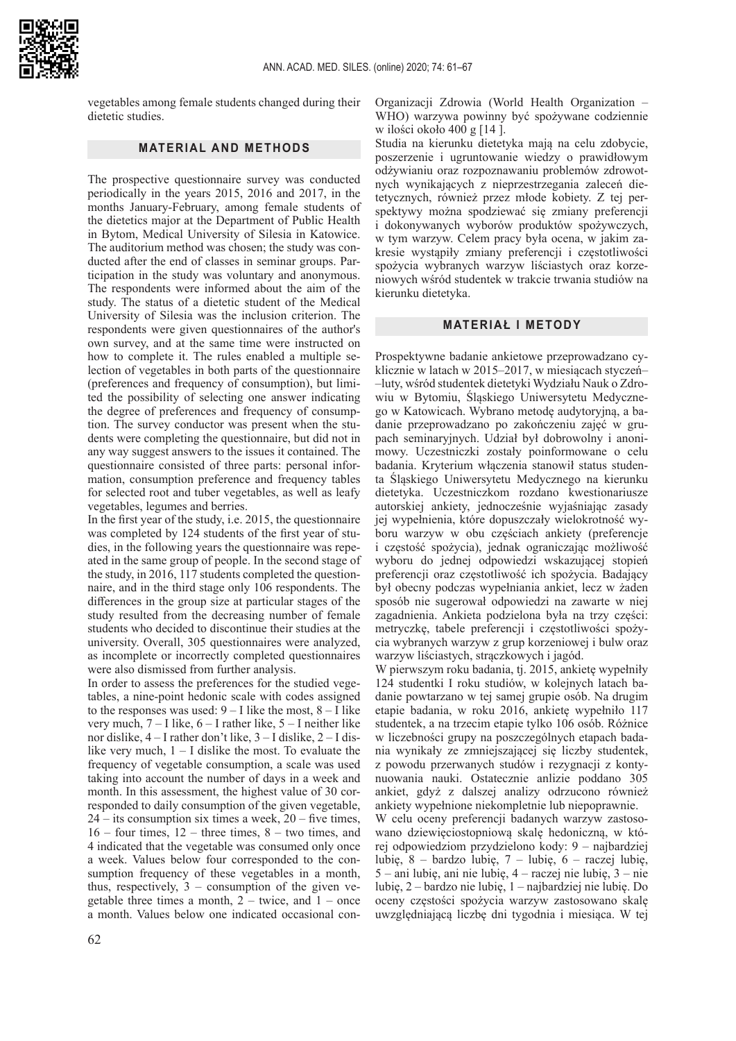



vegetables among female students changed during their dietetic studies.

# **MATERIAL AND METHODS**

The prospective questionnaire survey was conducted periodically in the years 2015, 2016 and 2017, in the months January-February, among female students of the dietetics major at the Department of Public Health in Bytom, Medical University of Silesia in Katowice. The auditorium method was chosen; the study was conducted after the end of classes in seminar groups. Participation in the study was voluntary and anonymous. The respondents were informed about the aim of the study. The status of a dietetic student of the Medical University of Silesia was the inclusion criterion. The respondents were given questionnaires of the author's own survey, and at the same time were instructed on how to complete it. The rules enabled a multiple selection of vegetables in both parts of the questionnaire (preferences and frequency of consumption), but limited the possibility of selecting one answer indicating the degree of preferences and frequency of consumption. The survey conductor was present when the students were completing the questionnaire, but did not in any way suggest answers to the issues it contained. The questionnaire consisted of three parts: personal information, consumption preference and frequency tables for selected root and tuber vegetables, as well as leafy vegetables, legumes and berries.

In the first year of the study, i.e. 2015, the questionnaire was completed by 124 students of the first year of studies, in the following years the questionnaire was repeated in the same group of people. In the second stage of the study, in 2016, 117 students completed the questionnaire, and in the third stage only 106 respondents. The differences in the group size at particular stages of the study resulted from the decreasing number of female students who decided to discontinue their studies at the university. Overall, 305 questionnaires were analyzed, as incomplete or incorrectly completed questionnaires were also dismissed from further analysis.

In order to assess the preferences for the studied vegetables, a nine-point hedonic scale with codes assigned to the responses was used:  $9 - I$  like the most,  $8 - I$  like very much,  $7 - I$  like,  $6 - I$  rather like,  $5 - I$  neither like nor dislike, 4 – I rather don't like, 3 – I dislike, 2 – I dislike very much,  $1 - I$  dislike the most. To evaluate the frequency of vegetable consumption, a scale was used taking into account the number of days in a week and month. In this assessment, the highest value of 30 corresponded to daily consumption of the given vegetable,  $24 -$  its consumption six times a week,  $20 -$  five times,  $16$  – four times,  $12$  – three times,  $8$  – two times, and 4 indicated that the vegetable was consumed only once a week. Values below four corresponded to the consumption frequency of these vegetables in a month, thus, respectively,  $3$  – consumption of the given vegetable three times a month,  $2 -$  twice, and  $1 -$  once a month. Values below one indicated occasional conOrganizacji Zdrowia (World Health Organization – WHO) warzywa powinny być spożywane codziennie w ilości około 400 g [14 ].

Studia na kierunku dietetyka mają na celu zdobycie, poszerzenie i ugruntowanie wiedzy o prawidłowym odżywianiu oraz rozpoznawaniu problemów zdrowotnych wynikających z nieprzestrzegania zaleceń dietetycznych, również przez młode kobiety. Z tej perspektywy można spodziewać się zmiany preferencji i dokonywanych wyborów produktów spożywczych, w tym warzyw. Celem pracy była ocena, w jakim zakresie wystąpiły zmiany preferencji i częstotliwości spożycia wybranych warzyw liściastych oraz korzeniowych wśród studentek w trakcie trwania studiów na kierunku dietetyka.

# **MATERIAŁ I METODY**

Prospektywne badanie ankietowe przeprowadzano cyklicznie w latach w 2015–2017, w miesiącach styczeń– –luty, wśród studentek dietetyki Wydziału Nauk o Zdrowiu w Bytomiu, Śląskiego Uniwersytetu Medycznego w Katowicach. Wybrano metodę audytoryjną, a badanie przeprowadzano po zakończeniu zajęć w grupach seminaryjnych. Udział był dobrowolny i anonimowy. Uczestniczki zostały poinformowane o celu badania. Kryterium włączenia stanowił status studenta Śląskiego Uniwersytetu Medycznego na kierunku dietetyka. Uczestniczkom rozdano kwestionariusze autorskiej ankiety, jednocześnie wyjaśniając zasady jej wypełnienia, które dopuszczały wielokrotność wyboru warzyw w obu częściach ankiety (preferencje i częstość spożycia), jednak ograniczając możliwość wyboru do jednej odpowiedzi wskazującej stopień preferencji oraz częstotliwość ich spożycia. Badający był obecny podczas wypełniania ankiet, lecz w żaden sposób nie sugerował odpowiedzi na zawarte w niej zagadnienia. Ankieta podzielona była na trzy części: metryczkę, tabele preferencji i częstotliwości spożycia wybranych warzyw z grup korzeniowej i bulw oraz warzyw liściastych, strączkowych i jagód.

W pierwszym roku badania, tj. 2015, ankietę wypełniły 124 studentki I roku studiów, w kolejnych latach badanie powtarzano w tej samej grupie osób. Na drugim etapie badania, w roku 2016, ankietę wypełniło 117 studentek, a na trzecim etapie tylko 106 osób. Różnice w liczebności grupy na poszczególnych etapach badania wynikały ze zmniejszającej się liczby studentek, z powodu przerwanych studów i rezygnacji z kontynuowania nauki. Ostatecznie anlizie poddano 305 ankiet, gdyż z dalszej analizy odrzucono również ankiety wypełnione niekompletnie lub niepoprawnie.

W celu oceny preferencji badanych warzyw zastosowano dziewięciostopniową skalę hedoniczną, w której odpowiedziom przydzielono kody: 9 – najbardziej lubię, 8 – bardzo lubię, 7 – lubię, 6 – raczej lubię, 5 – ani lubię, ani nie lubię, 4 – raczej nie lubię, 3 – nie lubię, 2 – bardzo nie lubię, 1 – najbardziej nie lubię. Do oceny częstości spożycia warzyw zastosowano skalę uwzględniającą liczbę dni tygodnia i miesiąca. W tej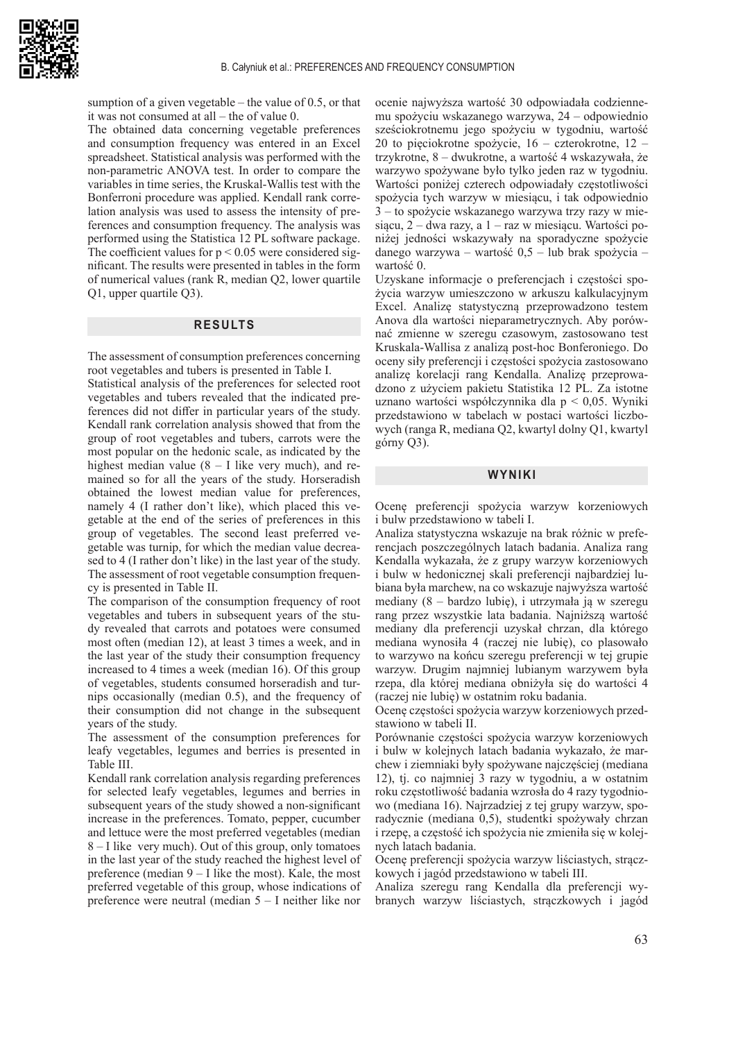

sumption of a given vegetable – the value of 0.5, or that it was not consumed at all – the of value 0.

The obtained data concerning vegetable preferences and consumption frequency was entered in an Excel spreadsheet. Statistical analysis was performed with the non-parametric ANOVA test. In order to compare the variables in time series, the Kruskal-Wallis test with the Bonferroni procedure was applied. Kendall rank correlation analysis was used to assess the intensity of preferences and consumption frequency. The analysis was performed using the Statistica 12 PL software package. The coefficient values for  $p < 0.05$  were considered significant. The results were presented in tables in the form of numerical values (rank R, median Q2, lower quartile Q1, upper quartile Q3).

#### **RESULTS**

The assessment of consumption preferences concerning root vegetables and tubers is presented in Table I.

Statistical analysis of the preferences for selected root vegetables and tubers revealed that the indicated preferences did not differ in particular years of the study. Kendall rank correlation analysis showed that from the group of root vegetables and tubers, carrots were the most popular on the hedonic scale, as indicated by the highest median value  $(8 - 1)$  like very much), and remained so for all the years of the study. Horseradish obtained the lowest median value for preferences, namely 4 (I rather don't like), which placed this vegetable at the end of the series of preferences in this group of vegetables. The second least preferred vegetable was turnip, for which the median value decreased to 4 (I rather don't like) in the last year of the study. The assessment of root vegetable consumption frequency is presented in Table II.

The comparison of the consumption frequency of root vegetables and tubers in subsequent years of the study revealed that carrots and potatoes were consumed most often (median 12), at least 3 times a week, and in the last year of the study their consumption frequency increased to 4 times a week (median 16). Of this group of vegetables, students consumed horseradish and turnips occasionally (median 0.5), and the frequency of their consumption did not change in the subsequent years of the study.

The assessment of the consumption preferences for leafy vegetables, legumes and berries is presented in Table III.

Kendall rank correlation analysis regarding preferences for selected leafy vegetables, legumes and berries in subsequent years of the study showed a non-significant increase in the preferences. Tomato, pepper, cucumber and lettuce were the most preferred vegetables (median 8 – I like very much). Out of this group, only tomatoes in the last year of the study reached the highest level of preference (median 9 – I like the most). Kale, the most preferred vegetable of this group, whose indications of preference were neutral (median 5 – I neither like nor ocenie najwyższa wartość 30 odpowiadała codziennemu spożyciu wskazanego warzywa, 24 – odpowiednio sześciokrotnemu jego spożyciu w tygodniu, wartość 20 to pięciokrotne spożycie, 16 – czterokrotne, 12 – trzykrotne, 8 – dwukrotne, a wartość 4 wskazywała, że warzywo spożywane było tylko jeden raz w tygodniu. Wartości poniżej czterech odpowiadały częstotliwości spożycia tych warzyw w miesiącu, i tak odpowiednio 3 – to spożycie wskazanego warzywa trzy razy w miesiącu, 2 – dwa razy, a 1 – raz w miesiącu. Wartości poniżej jedności wskazywały na sporadyczne spożycie danego warzywa – wartość 0,5 – lub brak spożycia – wartość 0.

Uzyskane informacje o preferencjach i częstości spożycia warzyw umieszczono w arkuszu kalkulacyjnym Excel. Analizę statystyczną przeprowadzono testem Anova dla wartości nieparametrycznych. Aby porównać zmienne w szeregu czasowym, zastosowano test Kruskala-Wallisa z analizą post-hoc Bonferoniego. Do oceny siły preferencji i częstości spożycia zastosowano analizę korelacji rang Kendalla. Analizę przeprowadzono z użyciem pakietu Statistika 12 PL. Za istotne uznano wartości współczynnika dla p < 0,05. Wyniki przedstawiono w tabelach w postaci wartości liczbowych (ranga R, mediana Q2, kwartyl dolny Q1, kwartyl górny Q3).

#### **WYNIKI**

Ocenę preferencji spożycia warzyw korzeniowych i bulw przedstawiono w tabeli I.

Analiza statystyczna wskazuje na brak różnic w preferencjach poszczególnych latach badania. Analiza rang Kendalla wykazała, że z grupy warzyw korzeniowych i bulw w hedonicznej skali preferencji najbardziej lubiana była marchew, na co wskazuje najwyższa wartość mediany (8 – bardzo lubię), i utrzymała ją w szeregu rang przez wszystkie lata badania. Najniższą wartość mediany dla preferencji uzyskał chrzan, dla którego mediana wynosiła 4 (raczej nie lubię), co plasowało to warzywo na końcu szeregu preferencji w tej grupie warzyw. Drugim najmniej lubianym warzywem była rzepa, dla której mediana obniżyła się do wartości 4 (raczej nie lubię) w ostatnim roku badania.

Ocenę częstości spożycia warzyw korzeniowych przedstawiono w tabeli II.

Porównanie częstości spożycia warzyw korzeniowych i bulw w kolejnych latach badania wykazało, że marchew i ziemniaki były spożywane najczęściej (mediana 12), tj. co najmniej 3 razy w tygodniu, a w ostatnim roku częstotliwość badania wzrosła do 4 razy tygodniowo (mediana 16). Najrzadziej z tej grupy warzyw, sporadycznie (mediana 0,5), studentki spożywały chrzan i rzepę, a częstość ich spożycia nie zmieniła się w kolejnych latach badania.

Ocenę preferencji spożycia warzyw liściastych, strączkowych i jagód przedstawiono w tabeli III.

Analiza szeregu rang Kendalla dla preferencji wybranych warzyw liściastych, strączkowych i jagód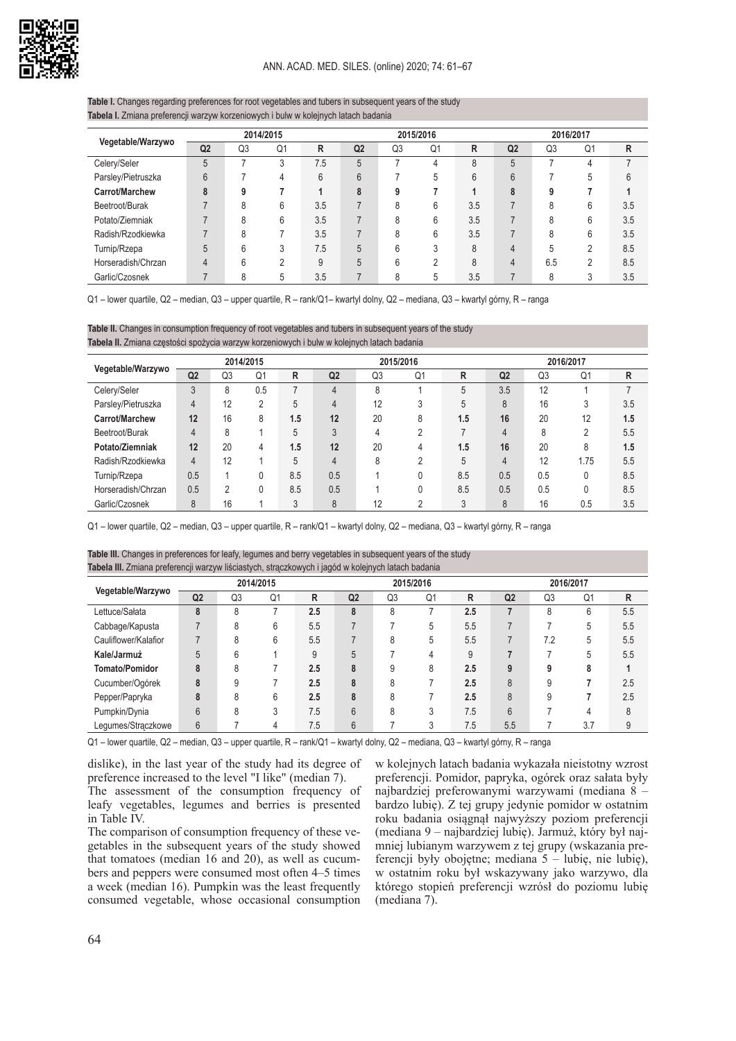

#### **Table I.** Changes regarding preferences for root vegetables and tubers in subsequent years of the study **Tabela I.** Zmiana preferencji warzyw korzeniowych i bulw w kolejnych latach badania

|                    |                |              | 2014/2015 |     |                |             | 2015/2016 |     | 2016/2017      |     |    |     |  |
|--------------------|----------------|--------------|-----------|-----|----------------|-------------|-----------|-----|----------------|-----|----|-----|--|
| Vegetable/Warzywo  | Q <sub>2</sub> | Q3           | Q1        | R   | Q <sub>2</sub> | Q3          | Q1        | R   | Q <sub>2</sub> | Q3  | Q1 | R   |  |
| Celery/Seler       | 5              |              |           | 7.5 | 5              |             | 4         | 8   | 5              |     | 4  |     |  |
| Parsley/Pietruszka | 6              |              |           | 6   | 6              |             | 5         | 6   | 6              |     | 5  | h   |  |
| Carrot/Marchew     | 8              | 9            |           |     | 8              | Ω           |           |     | 8              | g   |    |     |  |
| Beetroot/Burak     |                | 8            | 6         | 3.5 | $\overline{ }$ | O           | 6         | 3.5 |                |     | 6  | 3.5 |  |
| Potato/Ziemniak    |                | $\circ$<br>õ | 6         | 3.5 |                |             | 6         | 3.5 |                | ጸ   | 6  | 3.5 |  |
| Radish/Rzodkiewka  |                | 8            |           | 3.5 |                | ጸ           | 6         | 3.5 |                | ጸ   | 6  | 3.5 |  |
| Turnip/Rzepa       | 5              | 6            |           | 7.5 | 5              | $\sim$<br>h | C         | 8   | 4              | 5   | c  | 8.5 |  |
| Horseradish/Chrzan | $\overline{4}$ | 6            |           | 9   | 5              | $\sim$      |           | 8   | 4              | 6.5 | c  | 8.5 |  |
| Garlic/Czosnek     |                | 8            | 5         | 3.5 |                |             | 5         | 3.5 |                |     |    | 3.5 |  |

Q1 – lower quartile, Q2 – median, Q3 – upper quartile, R – rank/Q1– kwartyl dolny, Q2 – mediana, Q3 – kwartyl górny, R – ranga

**Table II.** Changes in consumption frequency of root vegetables and tubers in subsequent years of the study

**Tabela II.** Zmiana częstości spożycia warzyw korzeniowych i bulw w kolejnych latach badania

| Vegetable/Warzywo  |                |                | 2014/2015 |     |                |                | 2015/2016      |     | 2016/2017      |                |                |     |  |
|--------------------|----------------|----------------|-----------|-----|----------------|----------------|----------------|-----|----------------|----------------|----------------|-----|--|
|                    | Q <sub>2</sub> | Q <sub>3</sub> | Q1        | R   | Q <sub>2</sub> | Q <sub>3</sub> | Q <sub>1</sub> | R   | Q <sub>2</sub> | Q <sub>3</sub> | Q <sub>1</sub> | R   |  |
| Celery/Seler       | 3              | 8              | 0.5       |     | $\overline{4}$ | 8              |                | 5   | 3.5            | 12             |                |     |  |
| Parsley/Pietruszka | 4              | 12             | 2         | 5   | 4              | 12             | 3              | 5   | 8              | 16             | 3              | 3.5 |  |
| Carrot/Marchew     | 12             | 16             | 8         | 1.5 | 12             | 20             | 8              | 1.5 | 16             | 20             | 12             | 1.5 |  |
| Beetroot/Burak     | 4              | 8              |           | 5   | 3              | 4              | っ              |     | $\overline{4}$ | 8              | っ              | 5.5 |  |
| Potato/Ziemniak    | 12             | 20             | 4         | 1.5 | 12             | 20             | 4              | 1.5 | 16             | 20             | 8              | 1.5 |  |
| Radish/Rzodkiewka  | 4              | 12             |           | 5   | $\overline{4}$ | 8              | າ              | 5   | 4              | 12             | 1.75           | 5.5 |  |
| Turnip/Rzepa       | 0.5            |                | 0         | 8.5 | 0.5            |                | 0              | 8.5 | 0.5            | 0.5            | 0              | 8.5 |  |
| Horseradish/Chrzan | 0.5            | 2              | 0         | 8.5 | 0.5            |                | 0              | 8.5 | 0.5            | 0.5            | $\mathbf{0}$   | 8.5 |  |
| Garlic/Czosnek     | 8              | 16             |           | 3   | 8              | 12             | ∩              | 3   | 8              | 16             | 0.5            | 3.5 |  |

Q1 – lower quartile, Q2 – median, Q3 – upper quartile, R – rank/Q1 – kwartyl dolny, Q2 – mediana, Q3 – kwartyl górny, R – ranga

| <b>TWO CHE EXPOSUTE AND CONTRACT OF A REPORT OF A REPORT OF A REPORT OF A REPORT OF A REPORT OF A REPORT OF A REPORT OF A REPORT OF A REPORT OF A REPORT OF A REPORT OF A REPORT OF A REPORT OF A REPORT OF A REPORT OF A REPORT</b> |                |                |           |     |    |                |           |                                                                                                                                                                           |           |  |     |     |  |
|--------------------------------------------------------------------------------------------------------------------------------------------------------------------------------------------------------------------------------------|----------------|----------------|-----------|-----|----|----------------|-----------|---------------------------------------------------------------------------------------------------------------------------------------------------------------------------|-----------|--|-----|-----|--|
|                                                                                                                                                                                                                                      |                |                | 2014/2015 |     |    |                | 2015/2016 |                                                                                                                                                                           | 2016/2017 |  |     |     |  |
| Vegetable/Warzywo                                                                                                                                                                                                                    | Q <sub>2</sub> | Q <sub>3</sub> | Q1        | R   | Q2 | Q <sub>3</sub> | Q1        | Q <sub>2</sub><br>Q <sub>3</sub><br>Q1<br>R<br>2.5<br>8<br>6<br>5.5<br>5<br>7.2<br>5.5<br>5<br>9<br>5<br>2.5<br>9<br>9<br>8<br>8<br>2.5<br>9<br>8<br>2.5<br>9<br>6<br>7.5 | R         |  |     |     |  |
| Lettuce/Sałata                                                                                                                                                                                                                       | 8              | 8              |           | 2.5 | 8  | 8              |           |                                                                                                                                                                           |           |  |     | 5.5 |  |
| Cabbage/Kapusta                                                                                                                                                                                                                      |                |                | 6         | 5.5 |    |                | 5         |                                                                                                                                                                           |           |  |     | 5.5 |  |
| Cauliflower/Kalafior                                                                                                                                                                                                                 |                |                | 6         | 5.5 |    | 8              | 5         |                                                                                                                                                                           |           |  |     | 5.5 |  |
| Kale/Jarmuż                                                                                                                                                                                                                          | 5              | 6              |           | 9   | 5  |                | 4         |                                                                                                                                                                           |           |  |     | 5.5 |  |
| <b>Tomato/Pomidor</b>                                                                                                                                                                                                                | 8              |                |           | 2.5 | 8  | 9              | 8         |                                                                                                                                                                           |           |  |     |     |  |
| Cucumber/Ogórek                                                                                                                                                                                                                      | 8              | 9              |           | 2.5 | 8  | 8              |           |                                                                                                                                                                           |           |  |     | 2.5 |  |
| Pepper/Papryka                                                                                                                                                                                                                       | 8              | 8              | 6         | 2.5 | 8  | 8              |           |                                                                                                                                                                           |           |  |     | 2.5 |  |
| Pumpkin/Dynia                                                                                                                                                                                                                        | $6\phantom{1}$ | 8              | 3         | 7.5 | 6  | 8              |           |                                                                                                                                                                           |           |  |     |     |  |
| Legumes/Straczkowe                                                                                                                                                                                                                   | 6              |                | 4         | 7.5 | 6  |                |           | 7.5                                                                                                                                                                       | 5.5       |  | 3.7 | 9   |  |
|                                                                                                                                                                                                                                      |                |                |           |     |    |                |           |                                                                                                                                                                           |           |  |     |     |  |

**Table III.** Changes in preferences for leafy, legumes and berry vegetables in subsequent years of the study **Tabela III.** Zmiana preferencji warzyw liściastych, strączkowych i jagód w kolejnych latach badania

Q1 – lower quartile, Q2 – median, Q3 – upper quartile, R – rank/Q1 – kwartyl dolny, Q2 – mediana, Q3 – kwartyl górny, R – ranga

dislike), in the last year of the study had its degree of preference increased to the level "I like" (median 7).

The assessment of the consumption frequency of leafy vegetables, legumes and berries is presented in Table IV.

The comparison of consumption frequency of these vegetables in the subsequent years of the study showed that tomatoes (median 16 and 20), as well as cucumbers and peppers were consumed most often 4–5 times a week (median 16). Pumpkin was the least frequently consumed vegetable, whose occasional consumption

w kolejnych latach badania wykazała nieistotny wzrost preferencji. Pomidor, papryka, ogórek oraz sałata były najbardziej preferowanymi warzywami (mediana 8 – bardzo lubię). Z tej grupy jedynie pomidor w ostatnim roku badania osiągnął najwyższy poziom preferencji (mediana 9 – najbardziej lubię). Jarmuż, który był najmniej lubianym warzywem z tej grupy (wskazania preferencji były obojętne; mediana 5 – lubię, nie lubię), w ostatnim roku był wskazywany jako warzywo, dla którego stopień preferencji wzrósł do poziomu lubię (mediana 7).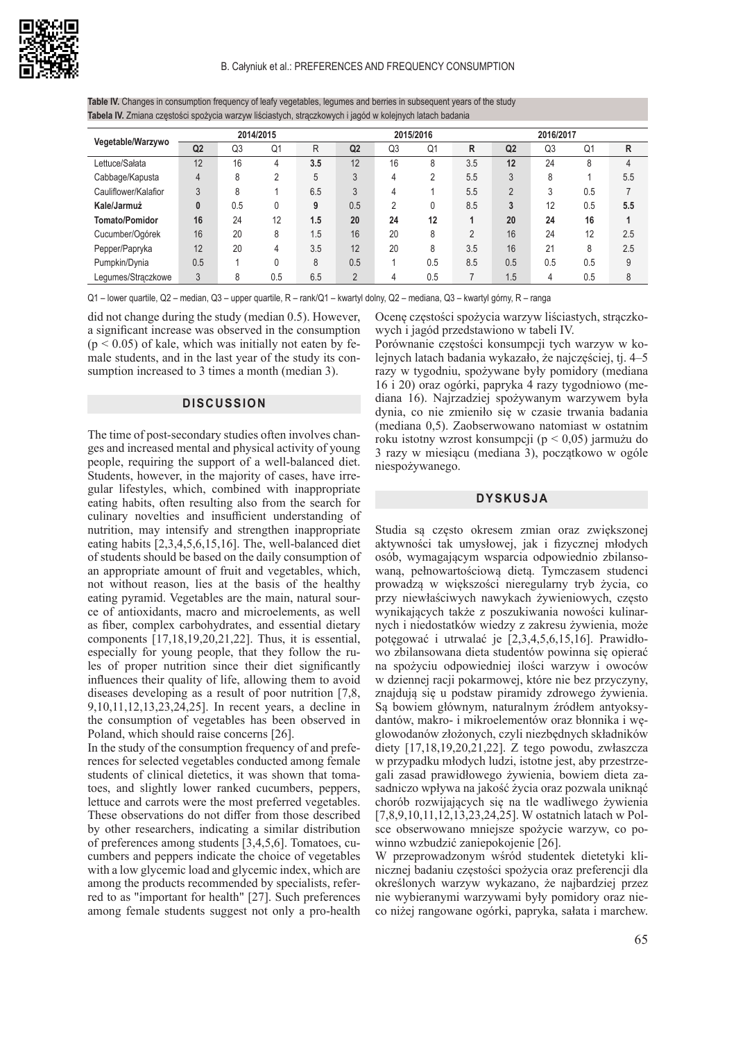| Vegetable/Warzywo     |                |     | 2014/2015 |     |                |                | 2015/2016 |                |                | 2016/2017 |     |     |  |
|-----------------------|----------------|-----|-----------|-----|----------------|----------------|-----------|----------------|----------------|-----------|-----|-----|--|
|                       | Q <sub>2</sub> | Q3  | Q1        | R   | Q <sub>2</sub> | Q <sub>3</sub> | Q1        | R              | Q <sub>2</sub> | Q3        | Q1  | R   |  |
| Lettuce/Sałata        | 12             | 16  | 4         | 3.5 | 12             | 16             | 8         | 3.5            | 12             | 24        | 8   | 4   |  |
| Cabbage/Kapusta       | 4              | 8   | ∩         | 5   | 3              | 4              | c         | 5.5            | 3              | 8         |     | 5.5 |  |
| Cauliflower/Kalafior  | 3              | 8   |           | 6.5 | 3              | 4              |           | 5.5            | $\overline{2}$ |           | 0.5 |     |  |
| Kale/Jarmuż           | $\bf{0}$       | 0.5 |           | 9   | 0.5            | 2              |           | 8.5            | 3              | 12        | 0.5 | 5.5 |  |
| <b>Tomato/Pomidor</b> | 16             | 24  | 12        | 1.5 | 20             | 24             | 12        |                | 20             | 24        | 16  |     |  |
| Cucumber/Ogórek       | 16             | 20  | 8         | 1.5 | 16             | 20             | 8         | $\overline{2}$ | 16             | 24        | 12  | 2.5 |  |
| Pepper/Papryka        | 12             | 20  | 4         | 3.5 | 12             | 20             | 8         | 3.5            | 16             | 21        | 8   | 2.5 |  |
| Pumpkin/Dynia         | 0.5            |     |           | 8   | 0.5            |                | 0.5       | 8.5            | 0.5            | 0.5       | 0.5 | 9   |  |
| Lequmes/Straczkowe    | 3              | 8   | 0.5       | 6.5 | $\overline{2}$ | 4              | 0.5       |                | 1.5            | 4         | 0.5 | 8   |  |

**Table IV.** Changes in consumption frequency of leafy vegetables, legumes and berries in subsequent years of the study **Tabela IV.** Zmiana częstości spożycia warzyw liściastych, strączkowych i jagód w kolejnych latach badania

Q1 – lower quartile, Q2 – median, Q3 – upper quartile, R – rank/Q1 – kwartyl dolny, Q2 – mediana, Q3 – kwartyl górny, R – ranga

did not change during the study (median 0.5). However, a significant increase was observed in the consumption  $(p < 0.05)$  of kale, which was initially not eaten by female students, and in the last year of the study its consumption increased to 3 times a month (median 3).

### **DISCUSSION**

The time of post-secondary studies often involves changes and increased mental and physical activity of young people, requiring the support of a well-balanced diet. Students, however, in the majority of cases, have irregular lifestyles, which, combined with inappropriate eating habits, often resulting also from the search for culinary novelties and insufficient understanding of nutrition, may intensify and strengthen inappropriate eating habits [2,3,4,5,6,15,16]. The, well-balanced diet of students should be based on the daily consumption of an appropriate amount of fruit and vegetables, which, not without reason, lies at the basis of the healthy eating pyramid. Vegetables are the main, natural source of antioxidants, macro and microelements, as well as fiber, complex carbohydrates, and essential dietary components [17,18,19,20,21,22]. Thus, it is essential, especially for young people, that they follow the rules of proper nutrition since their diet significantly influences their quality of life, allowing them to avoid diseases developing as a result of poor nutrition [7,8, 9,10,11,12,13,23,24,25]. In recent years, a decline in the consumption of vegetables has been observed in Poland, which should raise concerns [26].

In the study of the consumption frequency of and preferences for selected vegetables conducted among female students of clinical dietetics, it was shown that tomatoes, and slightly lower ranked cucumbers, peppers, lettuce and carrots were the most preferred vegetables. These observations do not differ from those described by other researchers, indicating a similar distribution of preferences among students [3,4,5,6]. Tomatoes, cucumbers and peppers indicate the choice of vegetables with a low glycemic load and glycemic index, which are among the products recommended by specialists, referred to as "important for health" [27]. Such preferences among female students suggest not only a pro-health Ocenę częstości spożycia warzyw liściastych, strączkowych i jagód przedstawiono w tabeli IV.

Porównanie częstości konsumpcji tych warzyw w kolejnych latach badania wykazało, że najczęściej, tj. 4–5 razy w tygodniu, spożywane były pomidory (mediana 16 i 20) oraz ogórki, papryka 4 razy tygodniowo (mediana 16). Najrzadziej spożywanym warzywem była dynia, co nie zmieniło się w czasie trwania badania (mediana 0,5). Zaobserwowano natomiast w ostatnim roku istotny wzrost konsumpcji (p < 0,05) jarmużu do 3 razy w miesiącu (mediana 3), początkowo w ogóle niespożywanego.

# **DYSKUSJA**

Studia są często okresem zmian oraz zwiększonej aktywności tak umysłowej, jak i fizycznej młodych osób, wymagającym wsparcia odpowiednio zbilansowaną, pełnowartościową dietą. Tymczasem studenci prowadzą w większości nieregularny tryb życia, co przy niewłaściwych nawykach żywieniowych, często wynikających także z poszukiwania nowości kulinarnych i niedostatków wiedzy z zakresu żywienia, może potęgować i utrwalać je [2,3,4,5,6,15,16]. Prawidłowo zbilansowana dieta studentów powinna się opierać na spożyciu odpowiedniej ilości warzyw i owoców w dziennej racji pokarmowej, które nie bez przyczyny, znajdują się u podstaw piramidy zdrowego żywienia. Są bowiem głównym, naturalnym źródłem antyoksydantów, makro- i mikroelementów oraz błonnika i węglowodanów złożonych, czyli niezbędnych składników diety [17,18,19,20,21,22]. Z tego powodu, zwłaszcza w przypadku młodych ludzi, istotne jest, aby przestrzegali zasad prawidłowego żywienia, bowiem dieta zasadniczo wpływa na jakość życia oraz pozwala uniknąć chorób rozwijających się na tle wadliwego żywienia [7,8,9,10,11,12,13,23,24,25]. W ostatnich latach w Polsce obserwowano mniejsze spożycie warzyw, co powinno wzbudzić zaniepokojenie [26].

W przeprowadzonym wśród studentek dietetyki klinicznej badaniu częstości spożycia oraz preferencji dla określonych warzyw wykazano, że najbardziej przez nie wybieranymi warzywami były pomidory oraz nieco niżej rangowane ogórki, papryka, sałata i marchew.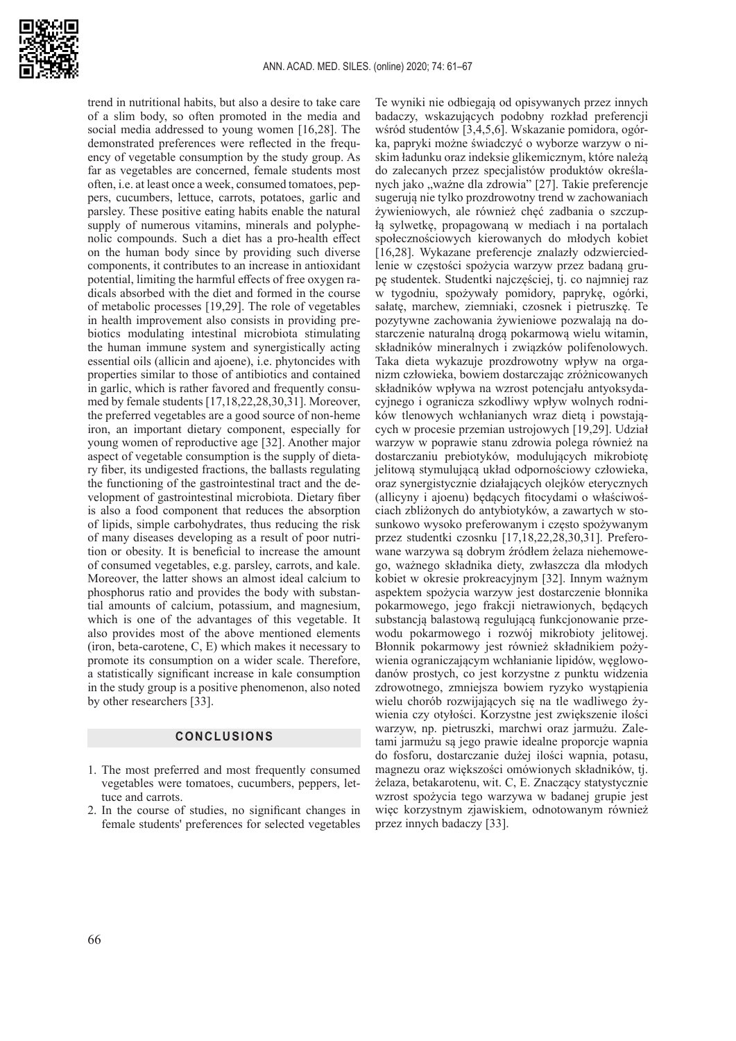

of a slim body, so often promoted in the media and social media addressed to young women [16,28]. The demonstrated preferences were reflected in the frequency of vegetable consumption by the study group. As far as vegetables are concerned, female students most often, i.e. at least once a week, consumed tomatoes, peppers, cucumbers, lettuce, carrots, potatoes, garlic and parsley. These positive eating habits enable the natural supply of numerous vitamins, minerals and polyphenolic compounds. Such a diet has a pro-health effect on the human body since by providing such diverse components, it contributes to an increase in antioxidant potential, limiting the harmful effects of free oxygen radicals absorbed with the diet and formed in the course of metabolic processes [19,29]. The role of vegetables in health improvement also consists in providing prebiotics modulating intestinal microbiota stimulating the human immune system and synergistically acting essential oils (allicin and ajoene), i.e. phytoncides with properties similar to those of antibiotics and contained in garlic, which is rather favored and frequently consumed by female students [17,18,22,28,30,31]. Moreover, the preferred vegetables are a good source of non-heme iron, an important dietary component, especially for young women of reproductive age [32]. Another major aspect of vegetable consumption is the supply of dietary fiber, its undigested fractions, the ballasts regulating the functioning of the gastrointestinal tract and the development of gastrointestinal microbiota. Dietary fiber is also a food component that reduces the absorption of lipids, simple carbohydrates, thus reducing the risk of many diseases developing as a result of poor nutrition or obesity. It is beneficial to increase the amount of consumed vegetables, e.g. parsley, carrots, and kale. Moreover, the latter shows an almost ideal calcium to phosphorus ratio and provides the body with substantial amounts of calcium, potassium, and magnesium, which is one of the advantages of this vegetable. It also provides most of the above mentioned elements (iron, beta-carotene, C, E) which makes it necessary to promote its consumption on a wider scale. Therefore, a statistically significant increase in kale consumption in the study group is a positive phenomenon, also noted by other researchers [33].

trend in nutritional habits, but also a desire to take care

# **CONCLUSIONS**

- 1. The most preferred and most frequently consumed vegetables were tomatoes, cucumbers, peppers, lettuce and carrots.
- 2. In the course of studies, no significant changes in female students' preferences for selected vegetables

Te wyniki nie odbiegają od opisywanych przez innych badaczy, wskazujących podobny rozkład preferencji wśród studentów [3,4,5,6]. Wskazanie pomidora, ogórka, papryki możne świadczyć o wyborze warzyw o niskim ładunku oraz indeksie glikemicznym, które należą do zalecanych przez specjalistów produktów określanych jako "ważne dla zdrowia"  $[27]$ . Takie preferencje sugerują nie tylko prozdrowotny trend w zachowaniach żywieniowych, ale również chęć zadbania o szczupłą sylwetkę, propagowaną w mediach i na portalach społecznościowych kierowanych do młodych kobiet [16,28]. Wykazane preferencje znalazły odzwierciedlenie w częstości spożycia warzyw przez badaną grupę studentek. Studentki najczęściej, tj. co najmniej raz w tygodniu, spożywały pomidory, paprykę, ogórki, sałatę, marchew, ziemniaki, czosnek i pietruszkę. Te pozytywne zachowania żywieniowe pozwalają na dostarczenie naturalną drogą pokarmową wielu witamin, składników mineralnych i związków polifenolowych. Taka dieta wykazuje prozdrowotny wpływ na organizm człowieka, bowiem dostarczając zróżnicowanych składników wpływa na wzrost potencjału antyoksydacyjnego i ogranicza szkodliwy wpływ wolnych rodników tlenowych wchłanianych wraz dietą i powstających w procesie przemian ustrojowych [19,29]. Udział warzyw w poprawie stanu zdrowia polega również na dostarczaniu prebiotyków, modulujących mikrobiotę jelitową stymulującą układ odpornościowy człowieka, oraz synergistycznie działających olejków eterycznych (allicyny i ajoenu) będących fitocydami o właściwościach zbliżonych do antybiotyków, a zawartych w stosunkowo wysoko preferowanym i często spożywanym przez studentki czosnku [17,18,22,28,30,31]. Preferowane warzywa są dobrym źródłem żelaza niehemowego, ważnego składnika diety, zwłaszcza dla młodych kobiet w okresie prokreacyjnym [32]. Innym ważnym aspektem spożycia warzyw jest dostarczenie błonnika pokarmowego, jego frakcji nietrawionych, będących substancją balastową regulującą funkcjonowanie przewodu pokarmowego i rozwój mikrobioty jelitowej. Błonnik pokarmowy jest również składnikiem pożywienia ograniczającym wchłanianie lipidów, węglowodanów prostych, co jest korzystne z punktu widzenia zdrowotnego, zmniejsza bowiem ryzyko wystąpienia wielu chorób rozwijających się na tle wadliwego żywienia czy otyłości. Korzystne jest zwiększenie ilości warzyw, np. pietruszki, marchwi oraz jarmużu. Zaletami jarmużu są jego prawie idealne proporcje wapnia do fosforu, dostarczanie dużej ilości wapnia, potasu, magnezu oraz większości omówionych składników, tj. żelaza, betakarotenu, wit. C, E. Znaczący statystycznie wzrost spożycia tego warzywa w badanej grupie jest więc korzystnym zjawiskiem, odnotowanym również przez innych badaczy [33].